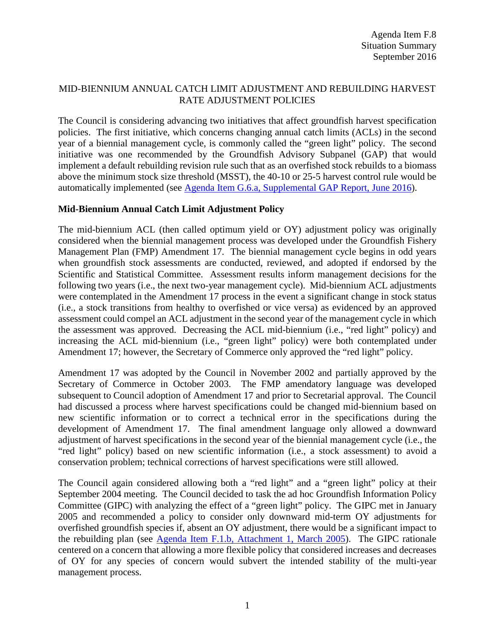# MID-BIENNIUM ANNUAL CATCH LIMIT ADJUSTMENT AND REBUILDING HARVEST RATE ADJUSTMENT POLICIES

The Council is considering advancing two initiatives that affect groundfish harvest specification policies. The first initiative, which concerns changing annual catch limits (ACLs) in the second year of a biennial management cycle, is commonly called the "green light" policy. The second initiative was one recommended by the Groundfish Advisory Subpanel (GAP) that would implement a default rebuilding revision rule such that as an overfished stock rebuilds to a biomass above the minimum stock size threshold (MSST), the 40-10 or 25-5 harvest control rule would be automatically implemented (see [Agenda Item G.6.a, Supplemental GAP Report, June 2016\)](http://www.pcouncil.org/wp-content/uploads/2016/06/G6a_Sup_GAP_Rpt_Omnibus_JUN2016BB.pdf).

### **Mid-Biennium Annual Catch Limit Adjustment Policy**

The mid-biennium ACL (then called optimum yield or OY) adjustment policy was originally considered when the biennial management process was developed under the Groundfish Fishery Management Plan (FMP) Amendment 17. The biennial management cycle begins in odd years when groundfish stock assessments are conducted, reviewed, and adopted if endorsed by the Scientific and Statistical Committee. Assessment results inform management decisions for the following two years (i.e., the next two-year management cycle). Mid-biennium ACL adjustments were contemplated in the Amendment 17 process in the event a significant change in stock status (i.e., a stock transitions from healthy to overfished or vice versa) as evidenced by an approved assessment could compel an ACL adjustment in the second year of the management cycle in which the assessment was approved. Decreasing the ACL mid-biennium (i.e., "red light" policy) and increasing the ACL mid-biennium (i.e., "green light" policy) were both contemplated under Amendment 17; however, the Secretary of Commerce only approved the "red light" policy.

Amendment 17 was adopted by the Council in November 2002 and partially approved by the Secretary of Commerce in October 2003. The FMP amendatory language was developed subsequent to Council adoption of Amendment 17 and prior to Secretarial approval. The Council had discussed a process where harvest specifications could be changed mid-biennium based on new scientific information or to correct a technical error in the specifications during the development of Amendment 17. The final amendment language only allowed a downward adjustment of harvest specifications in the second year of the biennial management cycle (i.e., the "red light" policy) based on new scientific information (i.e., a stock assessment) to avoid a conservation problem; technical corrections of harvest specifications were still allowed.

The Council again considered allowing both a "red light" and a "green light" policy at their September 2004 meeting. The Council decided to task the ad hoc Groundfish Information Policy Committee (GIPC) with analyzing the effect of a "green light" policy. The GIPC met in January 2005 and recommended a policy to consider only downward mid-term OY adjustments for overfished groundfish species if, absent an OY adjustment, there would be a significant impact to the rebuilding plan (see [Agenda Item F.1.b, Attachment 1, March 2005\)](http://www.pcouncil.org/bb/2005/0305/F.1.b_Att1_March05.pdf). The GIPC rationale centered on a concern that allowing a more flexible policy that considered increases and decreases of OY for any species of concern would subvert the intended stability of the multi-year management process.